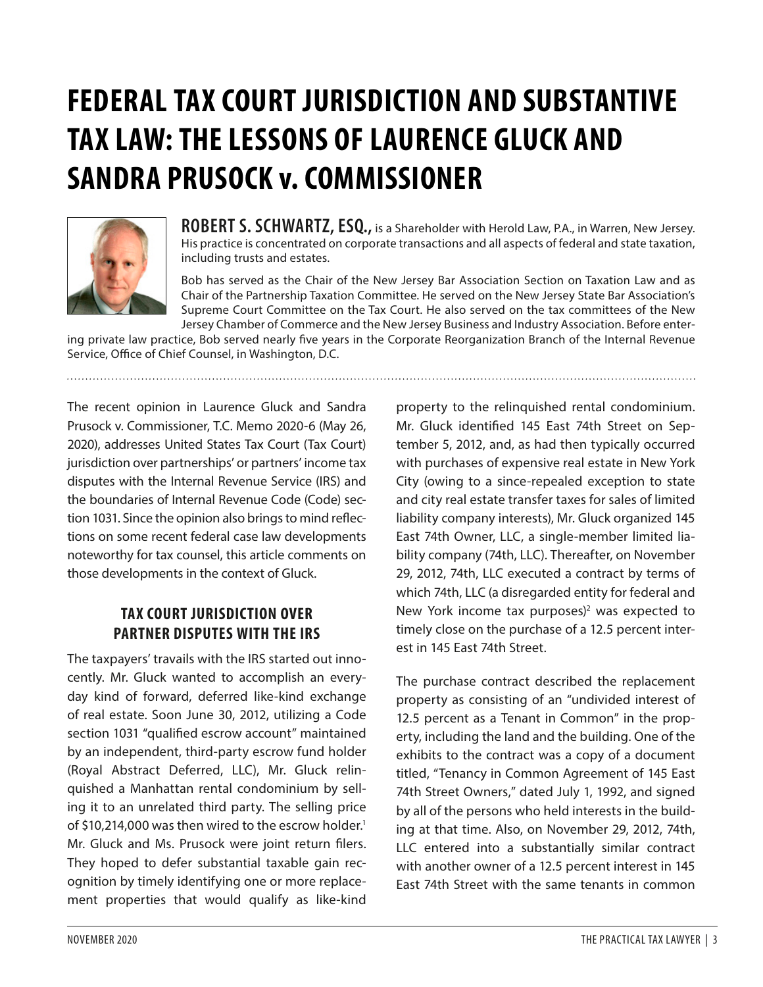# **FEDERAL TAX COURT JURISDICTION AND SUBSTANTIVE TAX LAW: THE LESSONS OF LAURENCE GLUCK AND SANDRA PRUSOCK v. COMMISSIONER**



**ROBERT S. SCHWARTZ, ESQ.,** is a Shareholder with Herold Law, P.A., in Warren, New Jersey. His practice is concentrated on corporate transactions and all aspects of federal and state taxation, including trusts and estates.

Bob has served as the Chair of the New Jersey Bar Association Section on Taxation Law and as Chair of the Partnership Taxation Committee. He served on the New Jersey State Bar Association's Supreme Court Committee on the Tax Court. He also served on the tax committees of the New Jersey Chamber of Commerce and the New Jersey Business and Industry Association. Before enter-

ing private law practice, Bob served nearly five years in the Corporate Reorganization Branch of the Internal Revenue Service, Office of Chief Counsel, in Washington, D.C.

The recent opinion in Laurence Gluck and Sandra Prusock v. Commissioner, T.C. Memo 2020-6 (May 26, 2020), addresses United States Tax Court (Tax Court) jurisdiction over partnerships' or partners' income tax disputes with the Internal Revenue Service (IRS) and the boundaries of Internal Revenue Code (Code) section 1031. Since the opinion also brings to mind reflections on some recent federal case law developments noteworthy for tax counsel, this article comments on those developments in the context of Gluck.

## **TAX COURT JURISDICTION OVER PARTNER DISPUTES WITH THE IRS**

The taxpayers' travails with the IRS started out innocently. Mr. Gluck wanted to accomplish an everyday kind of forward, deferred like-kind exchange of real estate. Soon June 30, 2012, utilizing a Code section 1031 "qualified escrow account" maintained by an independent, third-party escrow fund holder (Royal Abstract Deferred, LLC), Mr. Gluck relinquished a Manhattan rental condominium by selling it to an unrelated third party. The selling price of \$10,214,000 was then wired to the escrow holder.<sup>1</sup> Mr. Gluck and Ms. Prusock were joint return filers. They hoped to defer substantial taxable gain recognition by timely identifying one or more replacement properties that would qualify as like-kind

property to the relinquished rental condominium. Mr. Gluck identified 145 East 74th Street on September 5, 2012, and, as had then typically occurred with purchases of expensive real estate in New York City (owing to a since-repealed exception to state and city real estate transfer taxes for sales of limited liability company interests), Mr. Gluck organized 145 East 74th Owner, LLC, a single-member limited liability company (74th, LLC). Thereafter, on November 29, 2012, 74th, LLC executed a contract by terms of which 74th, LLC (a disregarded entity for federal and New York income tax purposes)<sup>2</sup> was expected to timely close on the purchase of a 12.5 percent interest in 145 East 74th Street.

The purchase contract described the replacement property as consisting of an "undivided interest of 12.5 percent as a Tenant in Common" in the property, including the land and the building. One of the exhibits to the contract was a copy of a document titled, "Tenancy in Common Agreement of 145 East 74th Street Owners," dated July 1, 1992, and signed by all of the persons who held interests in the building at that time. Also, on November 29, 2012, 74th, LLC entered into a substantially similar contract with another owner of a 12.5 percent interest in 145 East 74th Street with the same tenants in common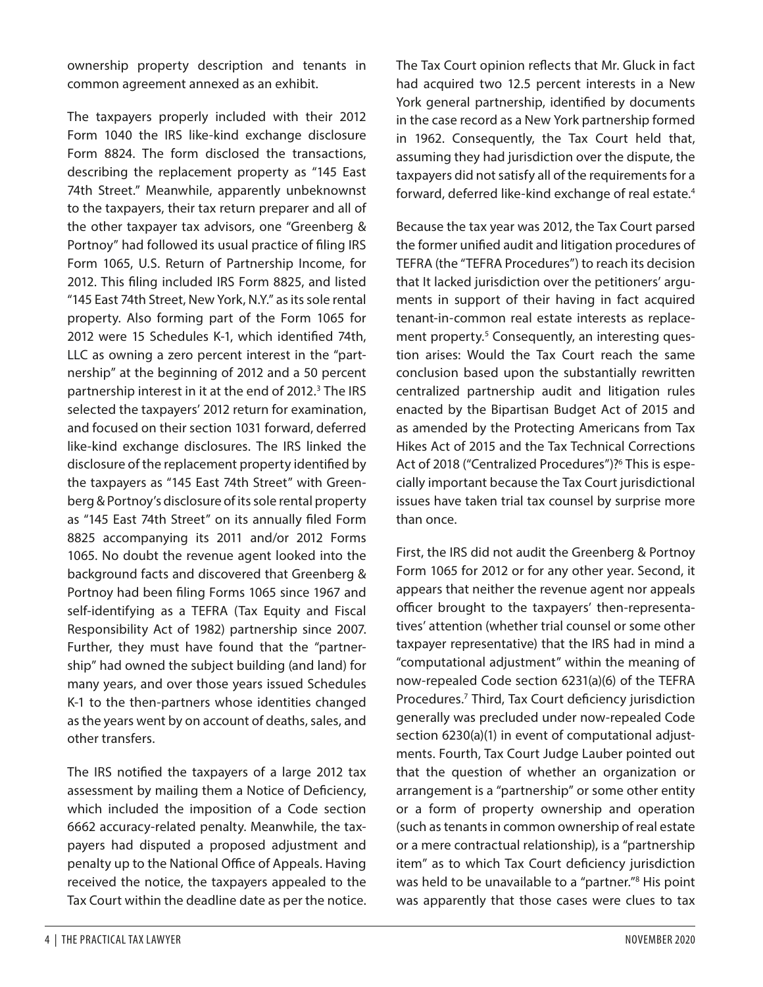ownership property description and tenants in common agreement annexed as an exhibit.

The taxpayers properly included with their 2012 Form 1040 the IRS like-kind exchange disclosure Form 8824. The form disclosed the transactions, describing the replacement property as "145 East 74th Street." Meanwhile, apparently unbeknownst to the taxpayers, their tax return preparer and all of the other taxpayer tax advisors, one "Greenberg & Portnoy" had followed its usual practice of filing IRS Form 1065, U.S. Return of Partnership Income, for 2012. This filing included IRS Form 8825, and listed "145 East 74th Street, New York, N.Y." as its sole rental property. Also forming part of the Form 1065 for 2012 were 15 Schedules K-1, which identified 74th, LLC as owning a zero percent interest in the "partnership" at the beginning of 2012 and a 50 percent partnership interest in it at the end of 2012.<sup>3</sup> The IRS selected the taxpayers' 2012 return for examination, and focused on their section 1031 forward, deferred like-kind exchange disclosures. The IRS linked the disclosure of the replacement property identified by the taxpayers as "145 East 74th Street" with Greenberg & Portnoy's disclosure of its sole rental property as "145 East 74th Street" on its annually filed Form 8825 accompanying its 2011 and/or 2012 Forms 1065. No doubt the revenue agent looked into the background facts and discovered that Greenberg & Portnoy had been filing Forms 1065 since 1967 and self-identifying as a TEFRA (Tax Equity and Fiscal Responsibility Act of 1982) partnership since 2007. Further, they must have found that the "partnership" had owned the subject building (and land) for many years, and over those years issued Schedules K-1 to the then-partners whose identities changed as the years went by on account of deaths, sales, and other transfers.

The IRS notified the taxpayers of a large 2012 tax assessment by mailing them a Notice of Deficiency, which included the imposition of a Code section 6662 accuracy-related penalty. Meanwhile, the taxpayers had disputed a proposed adjustment and penalty up to the National Office of Appeals. Having received the notice, the taxpayers appealed to the Tax Court within the deadline date as per the notice.

The Tax Court opinion reflects that Mr. Gluck in fact had acquired two 12.5 percent interests in a New York general partnership, identified by documents in the case record as a New York partnership formed in 1962. Consequently, the Tax Court held that, assuming they had jurisdiction over the dispute, the taxpayers did not satisfy all of the requirements for a forward, deferred like-kind exchange of real estate.<sup>4</sup>

Because the tax year was 2012, the Tax Court parsed the former unified audit and litigation procedures of TEFRA (the "TEFRA Procedures") to reach its decision that It lacked jurisdiction over the petitioners' arguments in support of their having in fact acquired tenant-in-common real estate interests as replacement property.<sup>5</sup> Consequently, an interesting question arises: Would the Tax Court reach the same conclusion based upon the substantially rewritten centralized partnership audit and litigation rules enacted by the Bipartisan Budget Act of 2015 and as amended by the Protecting Americans from Tax Hikes Act of 2015 and the Tax Technical Corrections Act of 2018 ("Centralized Procedures")?<sup>6</sup> This is especially important because the Tax Court jurisdictional issues have taken trial tax counsel by surprise more than once.

First, the IRS did not audit the Greenberg & Portnoy Form 1065 for 2012 or for any other year. Second, it appears that neither the revenue agent nor appeals officer brought to the taxpayers' then-representatives' attention (whether trial counsel or some other taxpayer representative) that the IRS had in mind a "computational adjustment" within the meaning of now-repealed Code section 6231(a)(6) of the TEFRA Procedures.7 Third, Tax Court deficiency jurisdiction generally was precluded under now-repealed Code section 6230(a)(1) in event of computational adjustments. Fourth, Tax Court Judge Lauber pointed out that the question of whether an organization or arrangement is a "partnership" or some other entity or a form of property ownership and operation (such as tenants in common ownership of real estate or a mere contractual relationship), is a "partnership item" as to which Tax Court deficiency jurisdiction was held to be unavailable to a "partner."<sup>8</sup> His point was apparently that those cases were clues to tax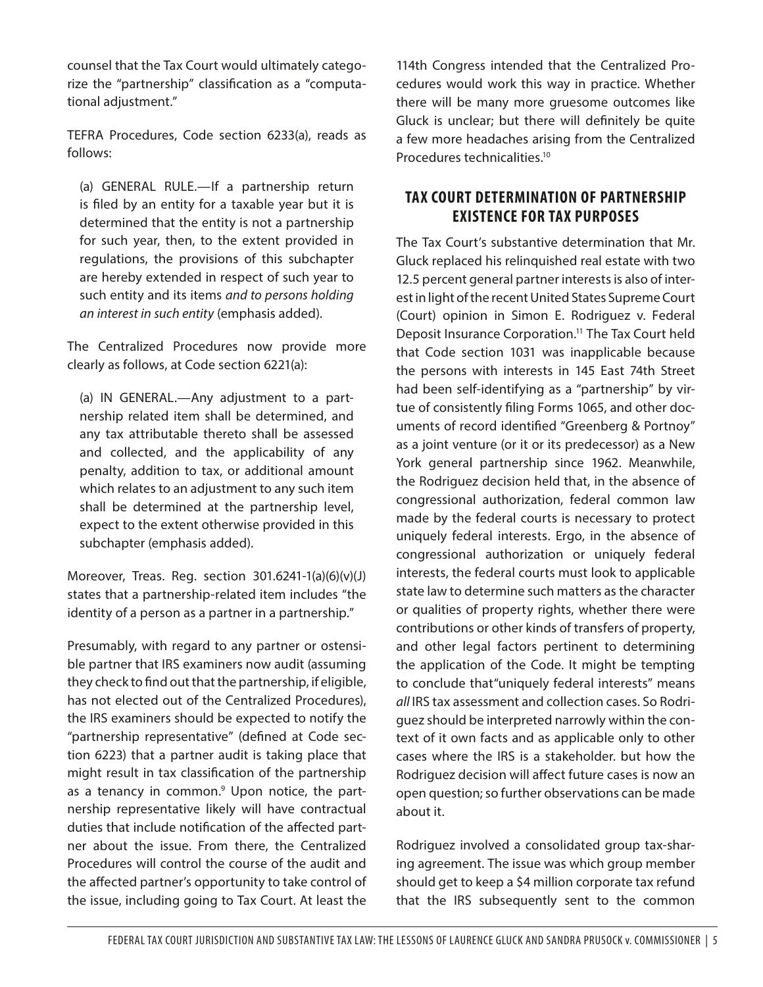counsel that the Tax Court would ultimately categorize the "partnership" classification as a "computational adjustment."

TEFRA Procedures, Code section 6233(a), reads as follows:

(a) GENERAL RULE.—If a partnership return is filed by an entity for a taxable year but it is determined that the entity is not a partnership for such year, then, to the extent provided in regulations, the provisions of this subchapter are hereby extended in respect of such year to such entity and its items *and to persons holding an interest in such entity* (emphasis added).

The Centralized Procedures now provide more clearly as follows, at Code section 6221(a):

(a) IN GENERAL.—Any adjustment to a partnership related item shall be determined, and any tax attributable thereto shall be assessed and collected, and the applicability of any penalty, addition to tax, or additional amount which relates to an adjustment to any such item shall be determined at the partnership level, expect to the extent otherwise provided in this subchapter (emphasis added).

Moreover, Treas. Reg. section 301.6241-1(a)(6)(v)(J) states that a partnership-related item includes "the identity of a person as a partner in a partnership."

Presumably, with regard to any partner or ostensible partner that IRS examiners now audit (assuming they check to find out that the partnership, if eligible, has not elected out of the Centralized Procedures), the IRS examiners should be expected to notify the "partnership representative" (defined at Code section 6223) that a partner audit is taking place that might result in tax classification of the partnership as a tenancy in common.<sup>9</sup> Upon notice, the partnership representative likely will have contractual duties that include notification of the affected partner about the issue. From there, the Centralized Procedures will control the course of the audit and the affected partner's opportunity to take control of the issue, including going to Tax Court. At least the 114th Congress intended that the Centralized Procedures would work this way in practice. Whether there will be many more gruesome outcomes like Gluck is unclear; but there will definitely be quite a few more headaches arising from the Centralized Procedures technicalities.10

### **TAX COURT DETERMINATION OF PARTNERSHIP EXISTENCE FOR TAX PURPOSES**

The Tax Court's substantive determination that Mr. Gluck replaced his relinquished real estate with two 12.5 percent general partner interests is also of interest in light of the recent United States Supreme Court (Court) opinion in Simon E. Rodriguez v. Federal Deposit Insurance Corporation.<sup>11</sup> The Tax Court held that Code section 1031 was inapplicable because the persons with interests in 145 East 74th Street had been self-identifying as a "partnership" by virtue of consistently filing Forms 1065, and other documents of record identified "Greenberg & Portnoy" as a joint venture (or it or its predecessor) as a New York general partnership since 1962. Meanwhile, the Rodriguez decision held that, in the absence of congressional authorization, federal common law made by the federal courts is necessary to protect uniquely federal interests. Ergo, in the absence of congressional authorization or uniquely federal interests, the federal courts must look to applicable state law to determine such matters as the character or qualities of property rights, whether there were contributions or other kinds of transfers of property, and other legal factors pertinent to determining the application of the Code. It might be tempting to conclude that"uniquely federal interests" means *all* IRS tax assessment and collection cases. So Rodriguez should be interpreted narrowly within the context of it own facts and as applicable only to other cases where the IRS is a stakeholder. but how the Rodriguez decision will affect future cases is now an open question; so further observations can be made about it.

Rodriguez involved a consolidated group tax-sharing agreement. The issue was which group member should get to keep a \$4 million corporate tax refund that the IRS subsequently sent to the common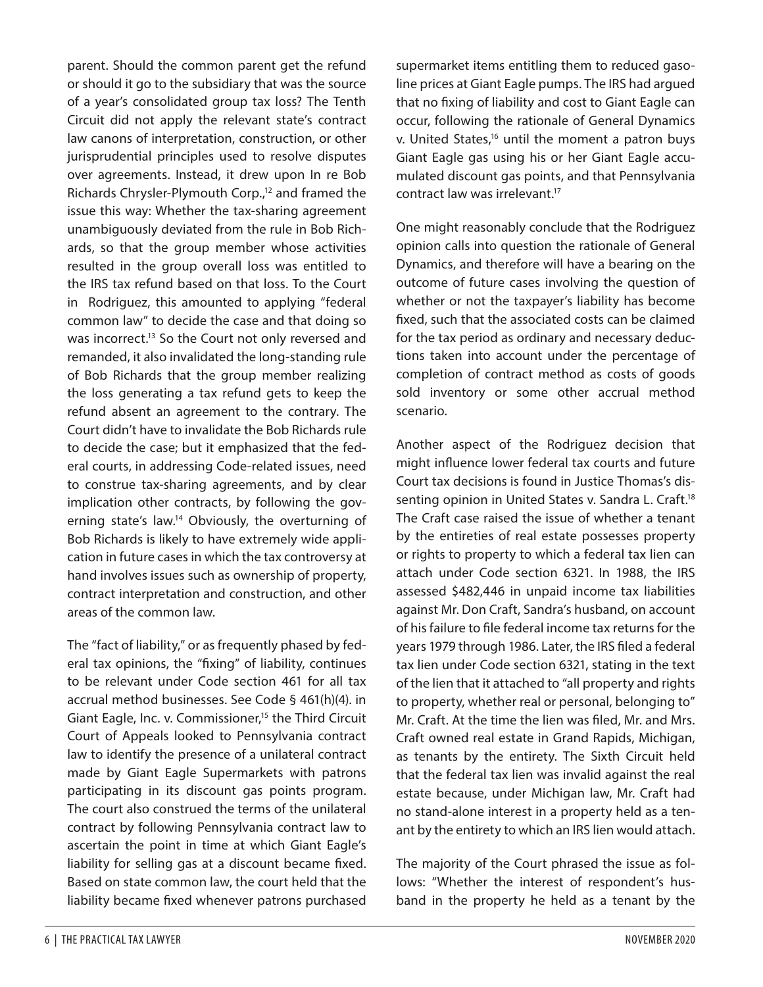parent. Should the common parent get the refund or should it go to the subsidiary that was the source of a year's consolidated group tax loss? The Tenth Circuit did not apply the relevant state's contract law canons of interpretation, construction, or other jurisprudential principles used to resolve disputes over agreements. Instead, it drew upon In re Bob Richards Chrysler-Plymouth Corp.,<sup>12</sup> and framed the issue this way: Whether the tax-sharing agreement unambiguously deviated from the rule in Bob Richards, so that the group member whose activities resulted in the group overall loss was entitled to the IRS tax refund based on that loss. To the Court in Rodriguez, this amounted to applying "federal common law" to decide the case and that doing so was incorrect.<sup>13</sup> So the Court not only reversed and remanded, it also invalidated the long-standing rule of Bob Richards that the group member realizing the loss generating a tax refund gets to keep the refund absent an agreement to the contrary. The Court didn't have to invalidate the Bob Richards rule to decide the case; but it emphasized that the federal courts, in addressing Code-related issues, need to construe tax-sharing agreements, and by clear implication other contracts, by following the governing state's law.14 Obviously, the overturning of Bob Richards is likely to have extremely wide application in future cases in which the tax controversy at hand involves issues such as ownership of property, contract interpretation and construction, and other areas of the common law.

The "fact of liability," or as frequently phased by federal tax opinions, the "fixing" of liability, continues to be relevant under Code section 461 for all tax accrual method businesses. See Code § 461(h)(4). in Giant Eagle, Inc. v. Commissioner,<sup>15</sup> the Third Circuit Court of Appeals looked to Pennsylvania contract law to identify the presence of a unilateral contract made by Giant Eagle Supermarkets with patrons participating in its discount gas points program. The court also construed the terms of the unilateral contract by following Pennsylvania contract law to ascertain the point in time at which Giant Eagle's liability for selling gas at a discount became fixed. Based on state common law, the court held that the liability became fixed whenever patrons purchased

supermarket items entitling them to reduced gasoline prices at Giant Eagle pumps. The IRS had argued that no fixing of liability and cost to Giant Eagle can occur, following the rationale of General Dynamics v. United States,<sup>16</sup> until the moment a patron buys Giant Eagle gas using his or her Giant Eagle accumulated discount gas points, and that Pennsylvania contract law was irrelevant.17

One might reasonably conclude that the Rodriguez opinion calls into question the rationale of General Dynamics, and therefore will have a bearing on the outcome of future cases involving the question of whether or not the taxpayer's liability has become fixed, such that the associated costs can be claimed for the tax period as ordinary and necessary deductions taken into account under the percentage of completion of contract method as costs of goods sold inventory or some other accrual method scenario.

Another aspect of the Rodriguez decision that might influence lower federal tax courts and future Court tax decisions is found in Justice Thomas's dissenting opinion in United States v. Sandra L. Craft.<sup>18</sup> The Craft case raised the issue of whether a tenant by the entireties of real estate possesses property or rights to property to which a federal tax lien can attach under Code section 6321. In 1988, the IRS assessed \$482,446 in unpaid income tax liabilities against Mr. Don Craft, Sandra's husband, on account of his failure to file federal income tax returns for the years 1979 through 1986. Later, the IRS filed a federal tax lien under Code section 6321, stating in the text of the lien that it attached to "all property and rights to property, whether real or personal, belonging to" Mr. Craft. At the time the lien was filed, Mr. and Mrs. Craft owned real estate in Grand Rapids, Michigan, as tenants by the entirety. The Sixth Circuit held that the federal tax lien was invalid against the real estate because, under Michigan law, Mr. Craft had no stand-alone interest in a property held as a tenant by the entirety to which an IRS lien would attach.

The majority of the Court phrased the issue as follows: "Whether the interest of respondent's husband in the property he held as a tenant by the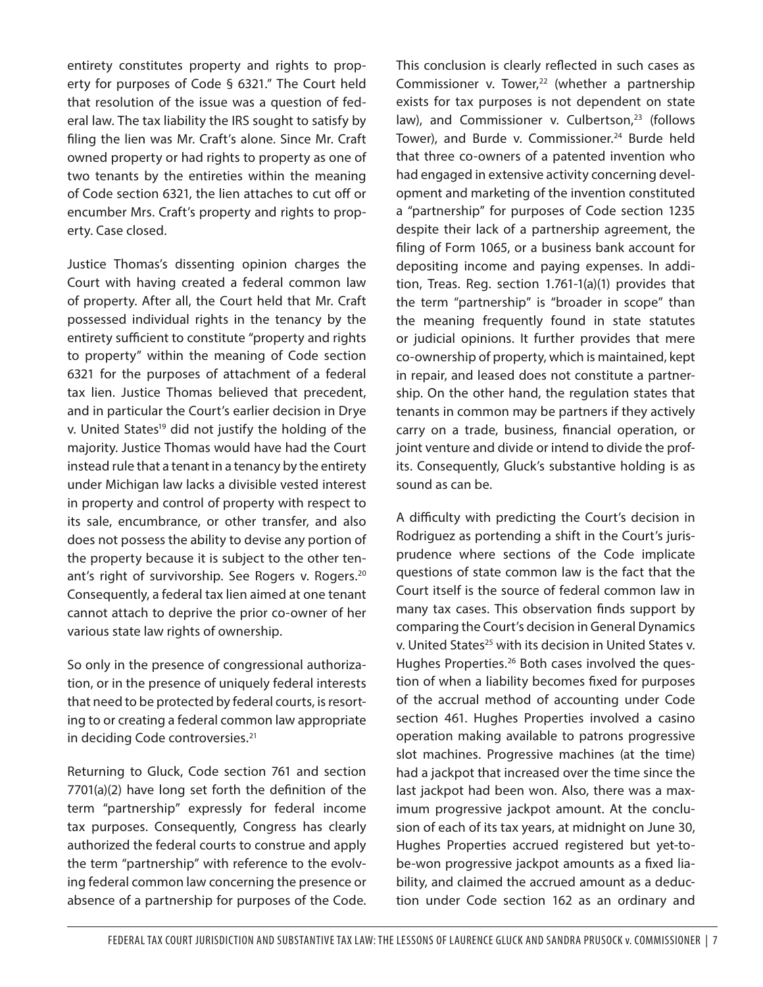entirety constitutes property and rights to property for purposes of Code § 6321." The Court held that resolution of the issue was a question of federal law. The tax liability the IRS sought to satisfy by filing the lien was Mr. Craft's alone. Since Mr. Craft owned property or had rights to property as one of two tenants by the entireties within the meaning of Code section 6321, the lien attaches to cut off or encumber Mrs. Craft's property and rights to property. Case closed.

Justice Thomas's dissenting opinion charges the Court with having created a federal common law of property. After all, the Court held that Mr. Craft possessed individual rights in the tenancy by the entirety sufficient to constitute "property and rights to property" within the meaning of Code section 6321 for the purposes of attachment of a federal tax lien. Justice Thomas believed that precedent, and in particular the Court's earlier decision in Drye v. United States<sup>19</sup> did not justify the holding of the majority. Justice Thomas would have had the Court instead rule that a tenant in a tenancy by the entirety under Michigan law lacks a divisible vested interest in property and control of property with respect to its sale, encumbrance, or other transfer, and also does not possess the ability to devise any portion of the property because it is subject to the other tenant's right of survivorship. See Rogers v. Rogers.<sup>20</sup> Consequently, a federal tax lien aimed at one tenant cannot attach to deprive the prior co-owner of her various state law rights of ownership.

So only in the presence of congressional authorization, or in the presence of uniquely federal interests that need to be protected by federal courts, is resorting to or creating a federal common law appropriate in deciding Code controversies.<sup>21</sup>

Returning to Gluck, Code section 761 and section 7701(a)(2) have long set forth the definition of the term "partnership" expressly for federal income tax purposes. Consequently, Congress has clearly authorized the federal courts to construe and apply the term "partnership" with reference to the evolving federal common law concerning the presence or absence of a partnership for purposes of the Code.

This conclusion is clearly reflected in such cases as Commissioner v. Tower, $22$  (whether a partnership exists for tax purposes is not dependent on state law), and Commissioner v. Culbertson, $23$  (follows Tower), and Burde v. Commissioner.<sup>24</sup> Burde held that three co-owners of a patented invention who had engaged in extensive activity concerning development and marketing of the invention constituted a "partnership" for purposes of Code section 1235 despite their lack of a partnership agreement, the filing of Form 1065, or a business bank account for depositing income and paying expenses. In addition, Treas. Reg. section 1.761-1(a)(1) provides that the term "partnership" is "broader in scope" than the meaning frequently found in state statutes or judicial opinions. It further provides that mere co-ownership of property, which is maintained, kept in repair, and leased does not constitute a partnership. On the other hand, the regulation states that tenants in common may be partners if they actively carry on a trade, business, financial operation, or joint venture and divide or intend to divide the profits. Consequently, Gluck's substantive holding is as sound as can be.

A difficulty with predicting the Court's decision in Rodriguez as portending a shift in the Court's jurisprudence where sections of the Code implicate questions of state common law is the fact that the Court itself is the source of federal common law in many tax cases. This observation finds support by comparing the Court's decision in General Dynamics v. United States<sup>25</sup> with its decision in United States v. Hughes Properties.<sup>26</sup> Both cases involved the question of when a liability becomes fixed for purposes of the accrual method of accounting under Code section 461. Hughes Properties involved a casino operation making available to patrons progressive slot machines. Progressive machines (at the time) had a jackpot that increased over the time since the last jackpot had been won. Also, there was a maximum progressive jackpot amount. At the conclusion of each of its tax years, at midnight on June 30, Hughes Properties accrued registered but yet-tobe-won progressive jackpot amounts as a fixed liability, and claimed the accrued amount as a deduction under Code section 162 as an ordinary and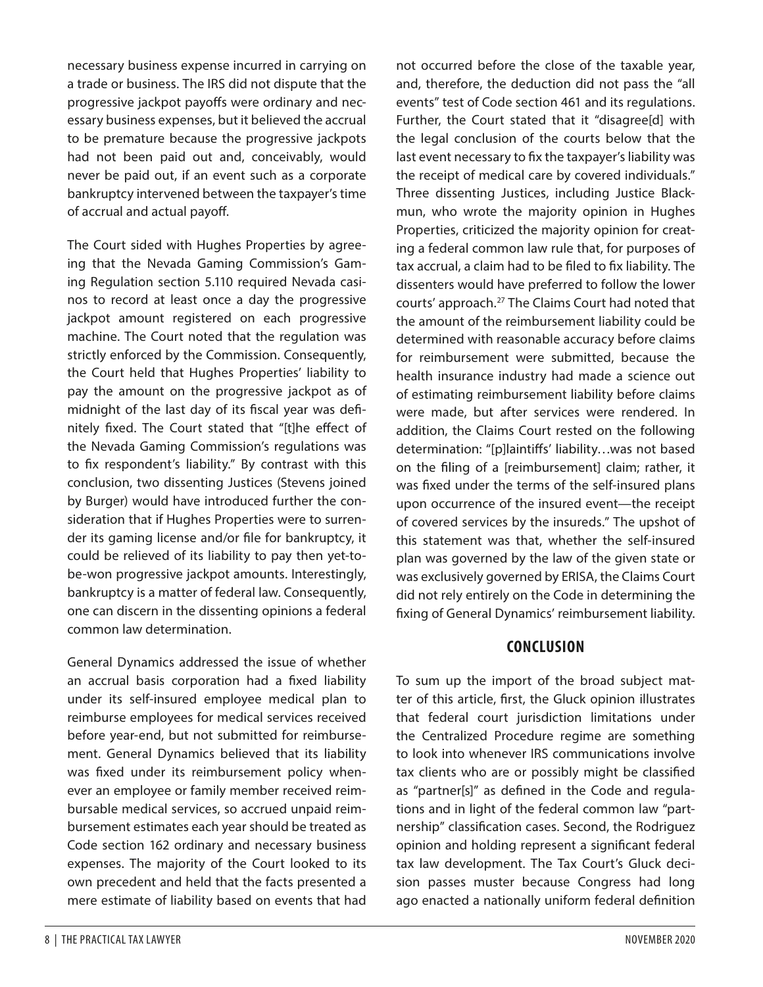necessary business expense incurred in carrying on a trade or business. The IRS did not dispute that the progressive jackpot payoffs were ordinary and necessary business expenses, but it believed the accrual to be premature because the progressive jackpots had not been paid out and, conceivably, would never be paid out, if an event such as a corporate bankruptcy intervened between the taxpayer's time of accrual and actual payoff.

The Court sided with Hughes Properties by agreeing that the Nevada Gaming Commission's Gaming Regulation section 5.110 required Nevada casinos to record at least once a day the progressive jackpot amount registered on each progressive machine. The Court noted that the regulation was strictly enforced by the Commission. Consequently, the Court held that Hughes Properties' liability to pay the amount on the progressive jackpot as of midnight of the last day of its fiscal year was definitely fixed. The Court stated that "[t]he effect of the Nevada Gaming Commission's regulations was to fix respondent's liability." By contrast with this conclusion, two dissenting Justices (Stevens joined by Burger) would have introduced further the consideration that if Hughes Properties were to surrender its gaming license and/or file for bankruptcy, it could be relieved of its liability to pay then yet-tobe-won progressive jackpot amounts. Interestingly, bankruptcy is a matter of federal law. Consequently, one can discern in the dissenting opinions a federal common law determination.

General Dynamics addressed the issue of whether an accrual basis corporation had a fixed liability under its self-insured employee medical plan to reimburse employees for medical services received before year-end, but not submitted for reimbursement. General Dynamics believed that its liability was fixed under its reimbursement policy whenever an employee or family member received reimbursable medical services, so accrued unpaid reimbursement estimates each year should be treated as Code section 162 ordinary and necessary business expenses. The majority of the Court looked to its own precedent and held that the facts presented a mere estimate of liability based on events that had

not occurred before the close of the taxable year, and, therefore, the deduction did not pass the "all events" test of Code section 461 and its regulations. Further, the Court stated that it "disagree[d] with the legal conclusion of the courts below that the last event necessary to fix the taxpayer's liability was the receipt of medical care by covered individuals." Three dissenting Justices, including Justice Blackmun, who wrote the majority opinion in Hughes Properties, criticized the majority opinion for creating a federal common law rule that, for purposes of tax accrual, a claim had to be filed to fix liability. The dissenters would have preferred to follow the lower courts' approach.<sup>27</sup> The Claims Court had noted that the amount of the reimbursement liability could be determined with reasonable accuracy before claims for reimbursement were submitted, because the health insurance industry had made a science out of estimating reimbursement liability before claims were made, but after services were rendered. In addition, the Claims Court rested on the following determination: "[p]laintiffs' liability…was not based on the filing of a [reimbursement] claim; rather, it was fixed under the terms of the self-insured plans upon occurrence of the insured event—the receipt of covered services by the insureds." The upshot of this statement was that, whether the self-insured plan was governed by the law of the given state or was exclusively governed by ERISA, the Claims Court did not rely entirely on the Code in determining the fixing of General Dynamics' reimbursement liability.

#### **CONCLUSION**

To sum up the import of the broad subject matter of this article, first, the Gluck opinion illustrates that federal court jurisdiction limitations under the Centralized Procedure regime are something to look into whenever IRS communications involve tax clients who are or possibly might be classified as "partner[s]" as defined in the Code and regulations and in light of the federal common law "partnership" classification cases. Second, the Rodriguez opinion and holding represent a significant federal tax law development. The Tax Court's Gluck decision passes muster because Congress had long ago enacted a nationally uniform federal definition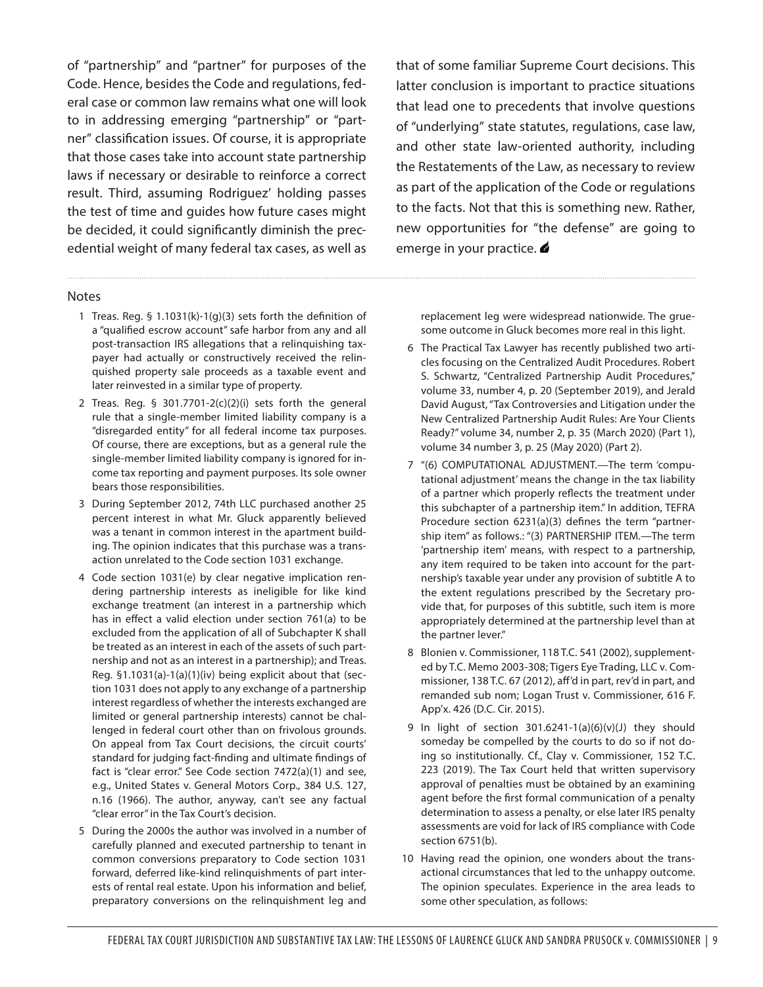of "partnership" and "partner" for purposes of the Code. Hence, besides the Code and regulations, federal case or common law remains what one will look to in addressing emerging "partnership" or "partner" classification issues. Of course, it is appropriate that those cases take into account state partnership laws if necessary or desirable to reinforce a correct result. Third, assuming Rodriguez' holding passes the test of time and guides how future cases might be decided, it could significantly diminish the precedential weight of many federal tax cases, as well as

that of some familiar Supreme Court decisions. This latter conclusion is important to practice situations that lead one to precedents that involve questions of "underlying" state statutes, regulations, case law, and other state law-oriented authority, including the Restatements of the Law, as necessary to review as part of the application of the Code or regulations to the facts. Not that this is something new. Rather, new opportunities for "the defense" are going to emerge in your practice.

#### Notes

- 1 Treas. Reg. § 1.1031(k)-1(g)(3) sets forth the definition of a "qualified escrow account" safe harbor from any and all post-transaction IRS allegations that a relinquishing taxpayer had actually or constructively received the relinquished property sale proceeds as a taxable event and later reinvested in a similar type of property.
- 2 Treas. Reg. § 301.7701-2(c)(2)(i) sets forth the general rule that a single-member limited liability company is a "disregarded entity" for all federal income tax purposes. Of course, there are exceptions, but as a general rule the single-member limited liability company is ignored for income tax reporting and payment purposes. Its sole owner bears those responsibilities.
- 3 During September 2012, 74th LLC purchased another 25 percent interest in what Mr. Gluck apparently believed was a tenant in common interest in the apartment building. The opinion indicates that this purchase was a transaction unrelated to the Code section 1031 exchange.
- 4 Code section 1031(e) by clear negative implication rendering partnership interests as ineligible for like kind exchange treatment (an interest in a partnership which has in effect a valid election under section 761(a) to be excluded from the application of all of Subchapter K shall be treated as an interest in each of the assets of such partnership and not as an interest in a partnership); and Treas. Reg. §1.1031(a)-1(a)(1)(iv) being explicit about that (section 1031 does not apply to any exchange of a partnership interest regardless of whether the interests exchanged are limited or general partnership interests) cannot be challenged in federal court other than on frivolous grounds. On appeal from Tax Court decisions, the circuit courts' standard for judging fact-finding and ultimate findings of fact is "clear error." See Code section 7472(a)(1) and see, e.g., United States v. General Motors Corp., 384 U.S. 127, n.16 (1966). The author, anyway, can't see any factual "clear error" in the Tax Court's decision.
- 5 During the 2000s the author was involved in a number of carefully planned and executed partnership to tenant in common conversions preparatory to Code section 1031 forward, deferred like-kind relinquishments of part interests of rental real estate. Upon his information and belief, preparatory conversions on the relinquishment leg and

replacement leg were widespread nationwide. The gruesome outcome in Gluck becomes more real in this light.

- 6 The Practical Tax Lawyer has recently published two articles focusing on the Centralized Audit Procedures. Robert S. Schwartz, "Centralized Partnership Audit Procedures," volume 33, number 4, p. 20 (September 2019), and Jerald David August, "Tax Controversies and Litigation under the New Centralized Partnership Audit Rules: Are Your Clients Ready?" volume 34, number 2, p. 35 (March 2020) (Part 1), volume 34 number 3, p. 25 (May 2020) (Part 2).
- 7 "(6) COMPUTATIONAL ADJUSTMENT.—The term 'computational adjustment' means the change in the tax liability of a partner which properly reflects the treatment under this subchapter of a partnership item." In addition, TEFRA Procedure section 6231(a)(3) defines the term "partnership item" as follows.: "(3) PARTNERSHIP ITEM.—The term 'partnership item' means, with respect to a partnership, any item required to be taken into account for the partnership's taxable year under any provision of subtitle A to the extent regulations prescribed by the Secretary provide that, for purposes of this subtitle, such item is more appropriately determined at the partnership level than at the partner lever."
- 8 Blonien v. Commissioner, 118 T.C. 541 (2002), supplemented by T.C. Memo 2003-308; Tigers Eye Trading, LLC v. Commissioner, 138 T.C. 67 (2012), aff'd in part, rev'd in part, and remanded sub nom; Logan Trust v. Commissioner, 616 F. App'x. 426 (D.C. Cir. 2015).
- 9 In light of section  $301.6241-1(a)(6)(v)(J)$  they should someday be compelled by the courts to do so if not doing so institutionally. Cf., Clay v. Commissioner, 152 T.C. 223 (2019). The Tax Court held that written supervisory approval of penalties must be obtained by an examining agent before the first formal communication of a penalty determination to assess a penalty, or else later IRS penalty assessments are void for lack of IRS compliance with Code section 6751(b).
- 10 Having read the opinion, one wonders about the transactional circumstances that led to the unhappy outcome. The opinion speculates. Experience in the area leads to some other speculation, as follows: